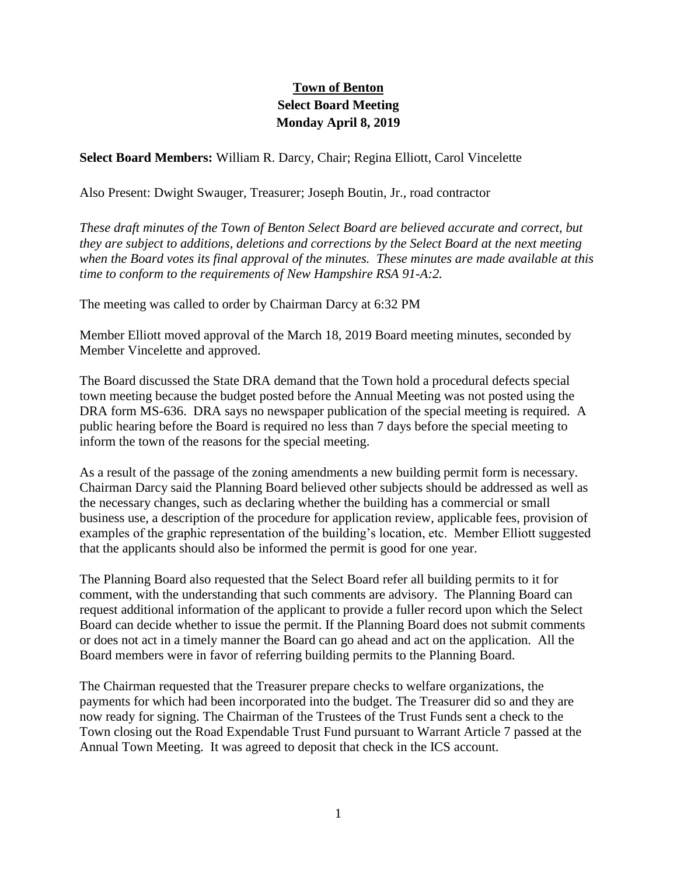## **Town of Benton Select Board Meeting Monday April 8, 2019**

**Select Board Members:** William R. Darcy, Chair; Regina Elliott, Carol Vincelette

Also Present: Dwight Swauger, Treasurer; Joseph Boutin, Jr., road contractor

*These draft minutes of the Town of Benton Select Board are believed accurate and correct, but they are subject to additions, deletions and corrections by the Select Board at the next meeting when the Board votes its final approval of the minutes. These minutes are made available at this time to conform to the requirements of New Hampshire RSA 91-A:2.*

The meeting was called to order by Chairman Darcy at 6:32 PM

Member Elliott moved approval of the March 18, 2019 Board meeting minutes, seconded by Member Vincelette and approved.

The Board discussed the State DRA demand that the Town hold a procedural defects special town meeting because the budget posted before the Annual Meeting was not posted using the DRA form MS-636. DRA says no newspaper publication of the special meeting is required. A public hearing before the Board is required no less than 7 days before the special meeting to inform the town of the reasons for the special meeting.

As a result of the passage of the zoning amendments a new building permit form is necessary. Chairman Darcy said the Planning Board believed other subjects should be addressed as well as the necessary changes, such as declaring whether the building has a commercial or small business use, a description of the procedure for application review, applicable fees, provision of examples of the graphic representation of the building's location, etc. Member Elliott suggested that the applicants should also be informed the permit is good for one year.

The Planning Board also requested that the Select Board refer all building permits to it for comment, with the understanding that such comments are advisory. The Planning Board can request additional information of the applicant to provide a fuller record upon which the Select Board can decide whether to issue the permit. If the Planning Board does not submit comments or does not act in a timely manner the Board can go ahead and act on the application. All the Board members were in favor of referring building permits to the Planning Board.

The Chairman requested that the Treasurer prepare checks to welfare organizations, the payments for which had been incorporated into the budget. The Treasurer did so and they are now ready for signing. The Chairman of the Trustees of the Trust Funds sent a check to the Town closing out the Road Expendable Trust Fund pursuant to Warrant Article 7 passed at the Annual Town Meeting. It was agreed to deposit that check in the ICS account.